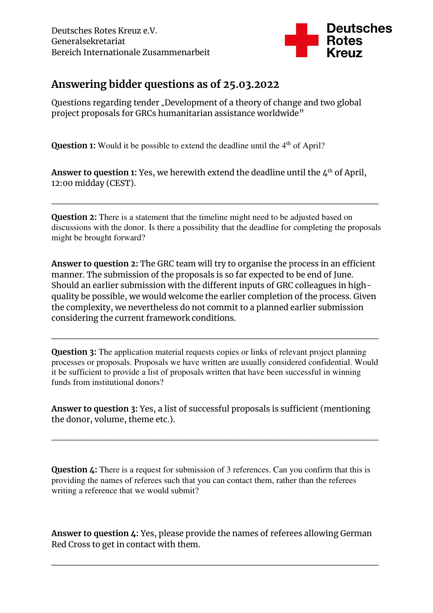

## **Answering bidder questions as of 25.03.2022**

Questions regarding tender "Development of a theory of change and two global project proposals for GRCs humanitarian assistance worldwide"

**Question 1:** Would it be possible to extend the deadline until the 4<sup>th</sup> of April?

**Answer to question 1:** Yes, we herewith extend the deadline until the  $\Delta^{th}$  of April, 12:00 midday (CEST).

**Question 2:** There is a statement that the timeline might need to be adjusted based on discussions with the donor. Is there a possibility that the deadline for completing the proposals might be brought forward?

\_\_\_\_\_\_\_\_\_\_\_\_\_\_\_\_\_\_\_\_\_\_\_\_\_\_\_\_\_\_\_\_\_\_\_\_\_\_\_\_\_\_\_\_\_\_\_\_\_

**Answer to question 2:** The GRC team will try to organise the process in an efficient manner. The submission of the proposals is so far expected to be end of June. Should an earlier submission with the different inputs of GRC colleagues in highquality be possible, we would welcome the earlier completion of the process. Given the complexity, we nevertheless do not commit to a planned earlier submission considering the current framework conditions.

**Question 3:** The application material requests copies or links of relevant project planning processes or proposals. Proposals we have written are usually considered confidential. Would it be sufficient to provide a list of proposals written that have been successful in winning funds from institutional donors?

\_\_\_\_\_\_\_\_\_\_\_\_\_\_\_\_\_\_\_\_\_\_\_\_\_\_\_\_\_\_\_\_\_\_\_\_\_\_\_\_\_\_\_\_\_\_\_\_\_

**Answer to question 3:** Yes, a list of successful proposals is sufficient (mentioning the donor, volume, theme etc.).

\_\_\_\_\_\_\_\_\_\_\_\_\_\_\_\_\_\_\_\_\_\_\_\_\_\_\_\_\_\_\_\_\_\_\_\_\_\_\_\_\_\_\_\_\_\_\_\_\_

**Question 4:** There is a request for submission of 3 references. Can you confirm that this is providing the names of referees such that you can contact them, rather than the referees writing a reference that we would submit?

**Answer to question 4:** Yes, please provide the names of referees allowing German Red Cross to get in contact with them.

\_\_\_\_\_\_\_\_\_\_\_\_\_\_\_\_\_\_\_\_\_\_\_\_\_\_\_\_\_\_\_\_\_\_\_\_\_\_\_\_\_\_\_\_\_\_\_\_\_